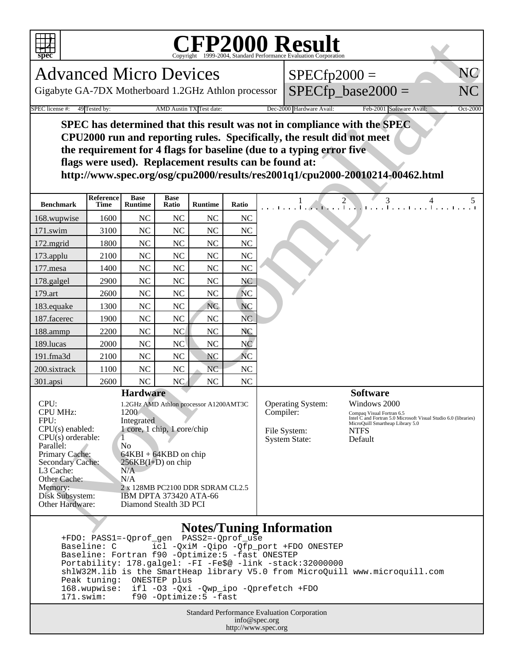

## **CFP2000 Result** COPS-2004, Standard Performance Evaluation Corporation

| $SPECfp2000 =$       |  |
|----------------------|--|
| $SPECfp\_base2000 =$ |  |

| spec                                                                                                                                                                                                                                                                                                                                                                                                                                                                                                           |                          |                               |                      |                          |                                                                                                                                                                                                                                                                                | <b>CFP2000 Result</b><br>ht ©1999-2004, Standard Performance Evaluation Corporation |  |  |
|----------------------------------------------------------------------------------------------------------------------------------------------------------------------------------------------------------------------------------------------------------------------------------------------------------------------------------------------------------------------------------------------------------------------------------------------------------------------------------------------------------------|--------------------------|-------------------------------|----------------------|--------------------------|--------------------------------------------------------------------------------------------------------------------------------------------------------------------------------------------------------------------------------------------------------------------------------|-------------------------------------------------------------------------------------|--|--|
| <b>Advanced Micro Devices</b>                                                                                                                                                                                                                                                                                                                                                                                                                                                                                  |                          |                               |                      |                          |                                                                                                                                                                                                                                                                                | NC<br>$SPECfp2000 =$                                                                |  |  |
| Gigabyte GA-7DX Motherboard 1.2GHz Athlon processor                                                                                                                                                                                                                                                                                                                                                                                                                                                            |                          |                               |                      |                          |                                                                                                                                                                                                                                                                                | $SPECfp\_base2000 =$<br>NC                                                          |  |  |
| SPEC license #:                                                                                                                                                                                                                                                                                                                                                                                                                                                                                                | 49 Tested by:            |                               |                      | AMD Austin TX Test date: |                                                                                                                                                                                                                                                                                | Dec-2000 Hardware Avail:<br>Feb-2001 Software Avail:<br>Oct-2000                    |  |  |
| SPEC has determined that this result was not in compliance with the SPEC<br>CPU2000 run and reporting rules. Specifically, the result did not meet<br>the requirement for 4 flags for baseline (due to a typing error five<br>flags were used). Replacement results can be found at:<br>http://www.spec.org/osg/cpu2000/results/res2001q1/cpu2000-20010214-00462.html                                                                                                                                          |                          |                               |                      |                          |                                                                                                                                                                                                                                                                                |                                                                                     |  |  |
| <b>Benchmark</b>                                                                                                                                                                                                                                                                                                                                                                                                                                                                                               | Reference<br><b>Time</b> | <b>Base</b><br><b>Runtime</b> | <b>Base</b><br>Ratio | <b>Runtime</b>           | Ratio                                                                                                                                                                                                                                                                          | $\frac{1}{1}$ $\frac{2}{1}$ $\frac{3}{1}$ $\frac{4}{1}$ $\frac{5}{1}$               |  |  |
| 168.wupwise                                                                                                                                                                                                                                                                                                                                                                                                                                                                                                    | 1600                     | <b>NC</b>                     | <b>NC</b>            | <b>NC</b>                | <b>NC</b>                                                                                                                                                                                                                                                                      |                                                                                     |  |  |
| 171.swim                                                                                                                                                                                                                                                                                                                                                                                                                                                                                                       | 3100                     | <b>NC</b>                     | <b>NC</b>            | <b>NC</b>                | <b>NC</b>                                                                                                                                                                                                                                                                      |                                                                                     |  |  |
| 172.mgrid                                                                                                                                                                                                                                                                                                                                                                                                                                                                                                      | 1800                     | <b>NC</b>                     | $\rm NC$             | <b>NC</b>                | <b>NC</b>                                                                                                                                                                                                                                                                      |                                                                                     |  |  |
| 173.applu                                                                                                                                                                                                                                                                                                                                                                                                                                                                                                      | 2100                     | <b>NC</b>                     | <b>NC</b>            | NC                       | NC                                                                                                                                                                                                                                                                             |                                                                                     |  |  |
| 177.mesa                                                                                                                                                                                                                                                                                                                                                                                                                                                                                                       | 1400                     | <b>NC</b>                     | <b>NC</b>            | NC                       | <b>NC</b>                                                                                                                                                                                                                                                                      |                                                                                     |  |  |
| 178.galgel                                                                                                                                                                                                                                                                                                                                                                                                                                                                                                     | 2900                     | <b>NC</b>                     | <b>NC</b>            | <b>NC</b>                | NC                                                                                                                                                                                                                                                                             |                                                                                     |  |  |
| 179.art                                                                                                                                                                                                                                                                                                                                                                                                                                                                                                        | 2600                     | <b>NC</b>                     | <b>NC</b>            | NC                       | <b>NC</b>                                                                                                                                                                                                                                                                      |                                                                                     |  |  |
| 183.equake                                                                                                                                                                                                                                                                                                                                                                                                                                                                                                     | 1300                     | <b>NC</b>                     | <b>NC</b>            | <b>NC</b>                | <b>NC</b>                                                                                                                                                                                                                                                                      |                                                                                     |  |  |
| 187.facerec                                                                                                                                                                                                                                                                                                                                                                                                                                                                                                    | 1900                     | <b>NC</b>                     | <b>NC</b>            | NC                       | <b>NC</b>                                                                                                                                                                                                                                                                      |                                                                                     |  |  |
| 188.ammp                                                                                                                                                                                                                                                                                                                                                                                                                                                                                                       | 2200                     | <b>NC</b>                     | NC                   | NC                       | NC                                                                                                                                                                                                                                                                             |                                                                                     |  |  |
| 189.lucas                                                                                                                                                                                                                                                                                                                                                                                                                                                                                                      | 2000                     | <b>NC</b>                     | NC                   | NC                       | N <sub>C</sub>                                                                                                                                                                                                                                                                 |                                                                                     |  |  |
| 191.fma3d                                                                                                                                                                                                                                                                                                                                                                                                                                                                                                      | 2100                     | NC                            | <b>NC</b>            | <b>NC</b>                | <b>NC</b>                                                                                                                                                                                                                                                                      |                                                                                     |  |  |
| 200.sixtrack                                                                                                                                                                                                                                                                                                                                                                                                                                                                                                   | 1100                     | <b>NC</b>                     | <b>NC</b>            | N <sub>C</sub>           | <b>NC</b>                                                                                                                                                                                                                                                                      |                                                                                     |  |  |
| 301.apsi                                                                                                                                                                                                                                                                                                                                                                                                                                                                                                       | 2600                     | NC                            | NC                   | NC                       | NC                                                                                                                                                                                                                                                                             |                                                                                     |  |  |
| <b>Hardware</b><br>CPU:<br>1.2GHz AMD Athlon processor A1200AMT3C<br>CPU MHz:<br>1200<br>FPU:<br>Integrated<br>$CPU(s)$ enabled:<br>1 core, 1 chip, 1 core/chip<br>CPU(s) orderable:<br>Parallel:<br>N <sub>0</sub><br>Primary Cache:<br>$64KBI + 64KBD$ on chip<br><b>Secondary Cache:</b><br>$256KB(I+D)$ on chip<br>L3 Cache:<br>N/A<br>Other Cache:<br>N/A<br>Memory:<br>2 x 128MB PC2100 DDR SDRAM CL2.5<br>Disk Subsystem:<br>IBM DPTA 373420 ATA-66<br><b>Other Hardware:</b><br>Diamond Stealth 3D PCI |                          |                               |                      |                          | <b>Software</b><br><b>Operating System:</b><br>Windows 2000<br>Compiler:<br>Compaq Visual Fortran 6.5<br>Intel C and Fortran 5.0 Microsoft Visual Studio 6.0 (libraries)<br>MicroQuill Smartheap Library 5.0<br>File System:<br><b>NTFS</b><br>Default<br><b>System State:</b> |                                                                                     |  |  |
| <b>Notes/Tuning Information</b>                                                                                                                                                                                                                                                                                                                                                                                                                                                                                |                          |                               |                      |                          |                                                                                                                                                                                                                                                                                |                                                                                     |  |  |

## **Notes/Tuning Information**

 +FDO: PASS1=-Qprof\_gen PASS2=-Qprof\_use Baseline: C icl -QxiM -Qipo -Qfp\_port +FDO ONESTEP Baseline: Fortran f90 -Optimize:5 -fast ONESTEP Portability: 178.galgel: -FI -Fe\$@ -link -stack:32000000 shlW32M.lib is the SmartHeap library V5.0 from MicroQuill www.microquill.com Peak tuning: ONESTEP plus 168.wupwise: ifl -O3 -Qxi -Qwp\_ipo -Qprefetch +FDO 171.swim: f90 -Optimize:5 -fast

> Standard Performance Evaluation Corporation info@spec.org http://www.spec.org